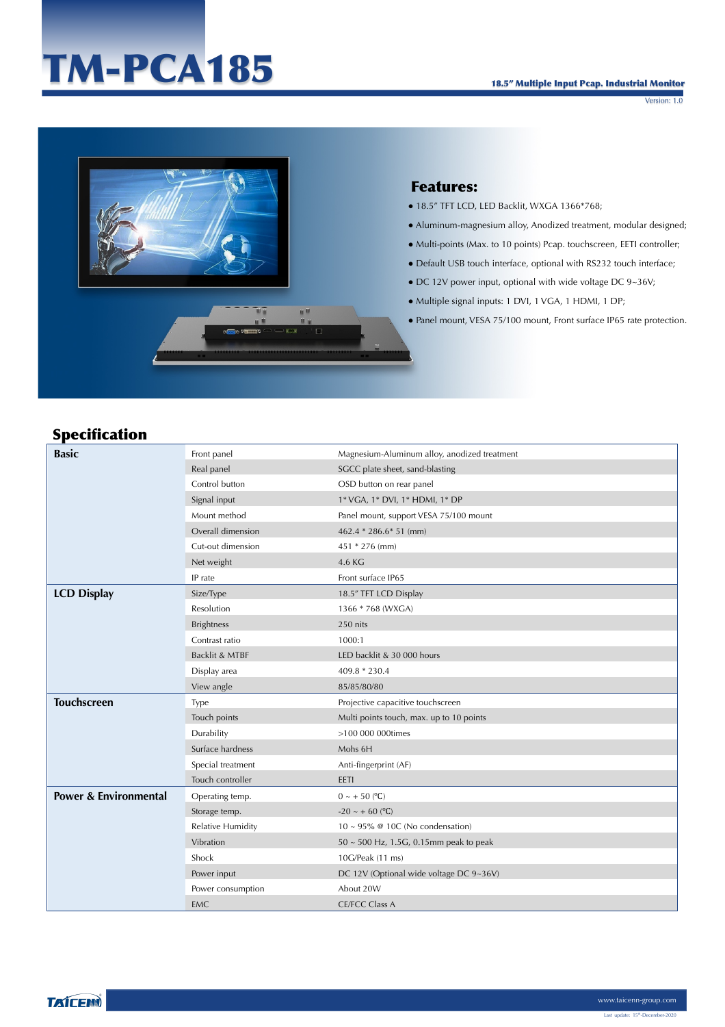#### 18.5" Multiple Input Pcap. Industrial Monitor

Version: 1.0

# TM-PCA185



## Features:

- 18.5" TFT LCD, LED Backlit, WXGA 1366\*768;
- Aluminum-magnesium alloy, Anodized treatment, modular designed;
- Multi-points (Max. to 10 points) Pcap. touchscreen, EETI controller;
- Default USB touch interface, optional with RS232 touch interface;
- DC 12V power input, optional with wide voltage DC 9~36V;
- Multiple signal inputs: 1 DVI, 1 VGA, 1 HDMI, 1 DP;
- Panel mount, VESA 75/100 mount, Front surface IP65 rate protection.

## Specification

| <b>Basic</b>                     | Front panel              | Magnesium-Aluminum alloy, anodized treatment |
|----------------------------------|--------------------------|----------------------------------------------|
|                                  | Real panel               | SGCC plate sheet, sand-blasting              |
|                                  | Control button           | OSD button on rear panel                     |
|                                  | Signal input             | 1* VGA, 1* DVI, 1* HDMI, 1* DP               |
|                                  | Mount method             | Panel mount, support VESA 75/100 mount       |
|                                  | Overall dimension        | 462.4 * 286.6 * 51 (mm)                      |
|                                  | Cut-out dimension        | 451 * 276 (mm)                               |
|                                  | Net weight               | 4.6 KG                                       |
|                                  | IP rate                  | Front surface IP65                           |
| <b>LCD Display</b>               | Size/Type                | 18.5" TFT LCD Display                        |
|                                  | Resolution               | 1366 * 768 (WXGA)                            |
|                                  | <b>Brightness</b>        | 250 nits                                     |
|                                  | Contrast ratio           | 1000:1                                       |
|                                  | Backlit & MTBF           | LED backlit & 30 000 hours                   |
|                                  | Display area             | $409.8 * 230.4$                              |
|                                  | View angle               | 85/85/80/80                                  |
| <b>Touchscreen</b>               | <b>Type</b>              | Projective capacitive touchscreen            |
|                                  | Touch points             | Multi points touch, max. up to 10 points     |
|                                  | Durability               | >100 000 000times                            |
|                                  | Surface hardness         | Mohs 6H                                      |
|                                  | Special treatment        | Anti-fingerprint (AF)                        |
|                                  | Touch controller         | EETI                                         |
| <b>Power &amp; Environmental</b> | Operating temp.          | $0 \sim +50$ (°C)                            |
|                                  | Storage temp.            | $-20 \sim +60$ (°C)                          |
|                                  | <b>Relative Humidity</b> | $10 \sim 95\%$ @ 10C (No condensation)       |
|                                  | Vibration                | $50 \sim 500$ Hz, 1.5G, 0.15mm peak to peak  |
|                                  | Shock                    | 10G/Peak (11 ms)                             |
|                                  | Power input              | DC 12V (Optional wide voltage DC 9~36V)      |
|                                  | Power consumption        | About 20W                                    |
|                                  | <b>EMC</b>               | <b>CE/FCC Class A</b>                        |